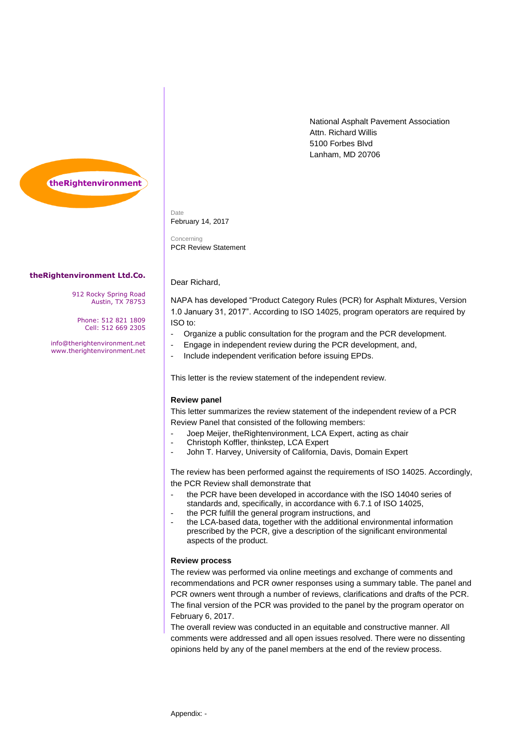National Asphalt Pavement Association Attn. Richard Willis 5100 Forbes Blvd Lanham, MD 20706



Date February 14, 2017

Dear Richard,

Concerning PCR Review Statement

## **theRightenvironment Ltd.Co.**

912 Rocky Spring Road Austin, TX 78753

Phone: 512 821 1809 Cell: 512 669 2305

info@therightenvironment.net www.therightenvironment.net

NAPA has developed "Product Category Rules (PCR) for Asphalt Mixtures, Version 1.0 January 31, 2017". According to ISO 14025, program operators are required by ISO to:

- Organize a public consultation for the program and the PCR development.
- Engage in independent review during the PCR development, and,
- Include independent verification before issuing EPDs.

This letter is the review statement of the independent review.

## **Review panel**

This letter summarizes the review statement of the independent review of a PCR Review Panel that consisted of the following members:

- Joep Meijer, theRightenvironment, LCA Expert, acting as chair
- Christoph Koffler, thinkstep, LCA Expert
- John T. Harvey, University of California, Davis, Domain Expert

The review has been performed against the requirements of ISO 14025. Accordingly, the PCR Review shall demonstrate that

- the PCR have been developed in accordance with the ISO 14040 series of standards and, specifically, in accordance with 6.7.1 of ISO 14025,
- the PCR fulfill the general program instructions, and
- the LCA-based data, together with the additional environmental information prescribed by the PCR, give a description of the significant environmental aspects of the product.

## **Review process**

The review was performed via online meetings and exchange of comments and recommendations and PCR owner responses using a summary table. The panel and PCR owners went through a number of reviews, clarifications and drafts of the PCR. The final version of the PCR was provided to the panel by the program operator on February 6, 2017.

The overall review was conducted in an equitable and constructive manner. All comments were addressed and all open issues resolved. There were no dissenting opinions held by any of the panel members at the end of the review process.